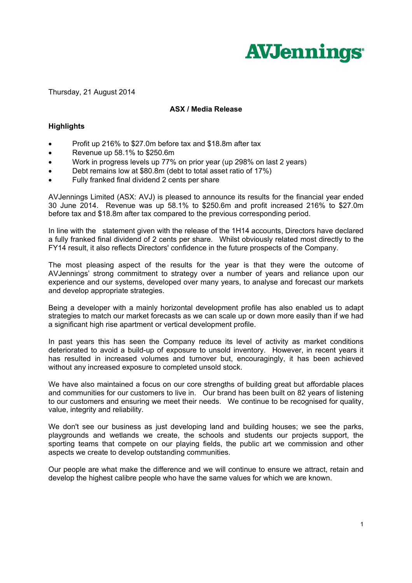

Thursday, 21 August 2014

## **ASX / Media Release**

## **Highlights**

- Profit up 216% to \$27.0m before tax and \$18.8m after tax
- Revenue up 58.1% to \$250.6m
- Work in progress levels up 77% on prior year (up 298% on last 2 years)
- Debt remains low at \$80.8m (debt to total asset ratio of 17%)
- Fully franked final dividend 2 cents per share

AVJennings Limited (ASX: AVJ) is pleased to announce its results for the financial year ended 30 June 2014. Revenue was up 58.1% to \$250.6m and profit increased 216% to \$27.0m before tax and \$18.8m after tax compared to the previous corresponding period.

In line with the statement given with the release of the 1H14 accounts, Directors have declared a fully franked final dividend of 2 cents per share. Whilst obviously related most directly to the FY14 result, it also reflects Directors' confidence in the future prospects of the Company.

The most pleasing aspect of the results for the year is that they were the outcome of AVJennings' strong commitment to strategy over a number of years and reliance upon our experience and our systems, developed over many years, to analyse and forecast our markets and develop appropriate strategies.

Being a developer with a mainly horizontal development profile has also enabled us to adapt strategies to match our market forecasts as we can scale up or down more easily than if we had a significant high rise apartment or vertical development profile.

In past years this has seen the Company reduce its level of activity as market conditions deteriorated to avoid a build-up of exposure to unsold inventory. However, in recent years it has resulted in increased volumes and turnover but, encouragingly, it has been achieved without any increased exposure to completed unsold stock.

We have also maintained a focus on our core strengths of building great but affordable places and communities for our customers to live in. Our brand has been built on 82 years of listening to our customers and ensuring we meet their needs. We continue to be recognised for quality, value, integrity and reliability.

We don't see our business as just developing land and building houses; we see the parks, playgrounds and wetlands we create, the schools and students our projects support, the sporting teams that compete on our playing fields, the public art we commission and other aspects we create to develop outstanding communities.

Our people are what make the difference and we will continue to ensure we attract, retain and develop the highest calibre people who have the same values for which we are known.